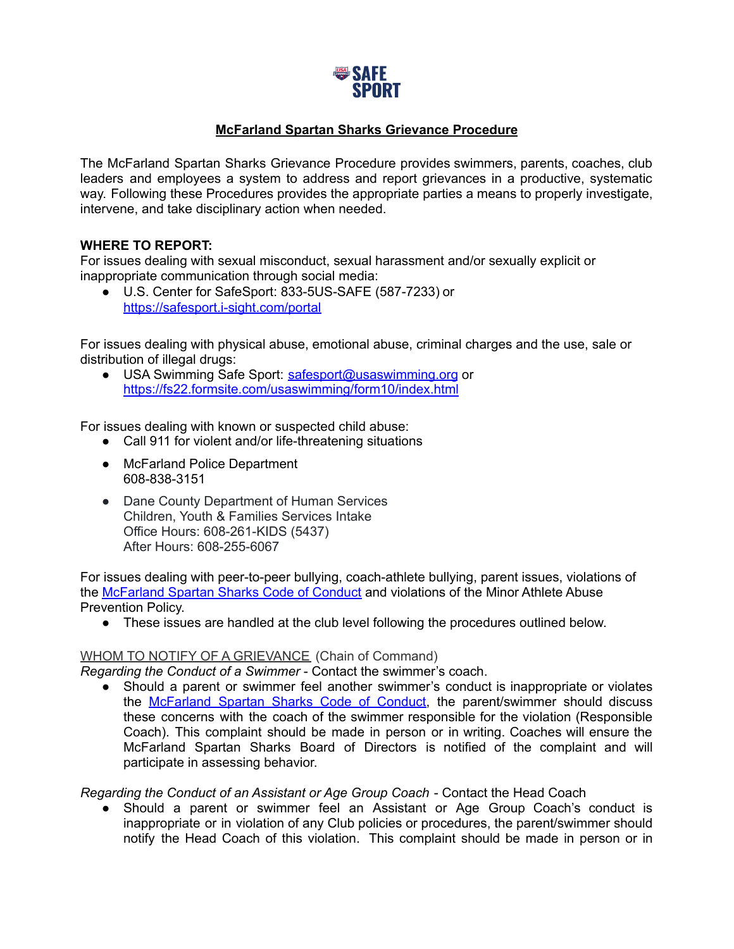

## **McFarland Spartan Sharks Grievance Procedure**

The McFarland Spartan Sharks Grievance Procedure provides swimmers, parents, coaches, club leaders and employees a system to address and report grievances in a productive, systematic way. Following these Procedures provides the appropriate parties a means to properly investigate, intervene, and take disciplinary action when needed.

## **WHERE TO REPORT:**

For issues dealing with sexual misconduct, sexual harassment and/or sexually explicit or inappropriate communication through social media:

● U.S. Center for SafeSport: 833-5US-SAFE (587-7233) or <https://safesport.i-sight.com/portal>

For issues dealing with physical abuse, emotional abuse, criminal charges and the use, sale or distribution of illegal drugs:

● USA Swimming Safe Sport: [safesport@usaswimming.org](mailto:safesport@usaswimming.org) or <https://fs22.formsite.com/usaswimming/form10/index.html>

For issues dealing with known or suspected child abuse:

- Call 911 for violent and/or life-threatening situations
- McFarland Police Department 608-838-3151
- Dane County Department of Human Services Children, Youth & Families Services Intake Office Hours: 608-261-KIDS (5437) After Hours: 608-255-6067

For issues dealing with peer-to-peer bullying, coach-athlete bullying, parent issues, violations of the [McFarland](https://www.teamunify.com/team/wimss/page/parents/code-of-conduct) Spartan Sharks Code of Conduct and violations of the Minor Athlete Abuse Prevention Policy.

• These issues are handled at the club level following the procedures outlined below.

## WHOM TO NOTIFY OF A GRIEVANCE (Chain of Command)

*Regarding the Conduct of a Swimmer* - Contact the swimmer's coach.

● Should a parent or swimmer feel another swimmer's conduct is inappropriate or violates the [McFarland](https://www.teamunify.com/team/wimss/page/parents/code-of-conduct) Spartan Sharks Code of Conduct, the parent/swimmer should discuss these concerns with the coach of the swimmer responsible for the violation (Responsible Coach). This complaint should be made in person or in writing. Coaches will ensure the McFarland Spartan Sharks Board of Directors is notified of the complaint and will participate in assessing behavior.

*Regarding the Conduct of an Assistant or Age Group Coach* - Contact the Head Coach

● Should a parent or swimmer feel an Assistant or Age Group Coach's conduct is inappropriate or in violation of any Club policies or procedures, the parent/swimmer should notify the Head Coach of this violation. This complaint should be made in person or in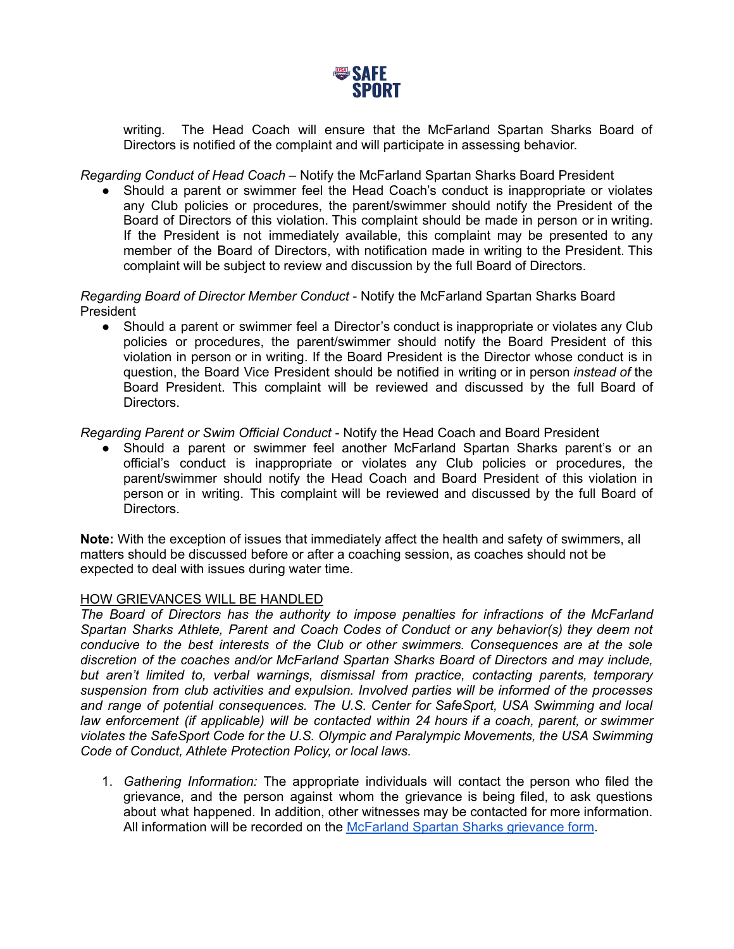

writing. The Head Coach will ensure that the McFarland Spartan Sharks Board of Directors is notified of the complaint and will participate in assessing behavior.

*Regarding Conduct of Head Coach* – Notify the McFarland Spartan Sharks Board President

Should a parent or swimmer feel the Head Coach's conduct is inappropriate or violates any Club policies or procedures, the parent/swimmer should notify the President of the Board of Directors of this violation. This complaint should be made in person or in writing. If the President is not immediately available, this complaint may be presented to any member of the Board of Directors, with notification made in writing to the President. This complaint will be subject to review and discussion by the full Board of Directors.

*Regarding Board of Director Member Conduct* - Notify the McFarland Spartan Sharks Board **President** 

• Should a parent or swimmer feel a Director's conduct is inappropriate or violates any Club policies or procedures, the parent/swimmer should notify the Board President of this violation in person or in writing. If the Board President is the Director whose conduct is in question, the Board Vice President should be notified in writing or in person *instead of* the Board President. This complaint will be reviewed and discussed by the full Board of Directors.

*Regarding Parent or Swim Official Conduct* - Notify the Head Coach and Board President

● Should a parent or swimmer feel another McFarland Spartan Sharks parent's or an official's conduct is inappropriate or violates any Club policies or procedures, the parent/swimmer should notify the Head Coach and Board President of this violation in person or in writing. This complaint will be reviewed and discussed by the full Board of Directors.

**Note:** With the exception of issues that immediately affect the health and safety of swimmers, all matters should be discussed before or after a coaching session, as coaches should not be expected to deal with issues during water time.

## HOW GRIEVANCES WILL BE HANDLED

*The Board of Directors has the authority to impose penalties for infractions of the McFarland Spartan Sharks Athlete, Parent and Coach Codes of Conduct or any behavior(s) they deem not conducive to the best interests of the Club or other swimmers. Consequences are at the sole discretion of the coaches and/or McFarland Spartan Sharks Board of Directors and may include, but aren't limited to, verbal warnings, dismissal from practice, contacting parents, temporary suspension from club activities and expulsion. Involved parties will be informed of the processes and range of potential consequences. The U.S. Center for SafeSport, USA Swimming and local law enforcement (if applicable) will be contacted within 24 hours if a coach, parent, or swimmer violates the SafeSport Code for the U.S. Olympic and Paralympic Movements, the USA Swimming Code of Conduct, Athlete Protection Policy, or local laws.*

1. *Gathering Information:* The appropriate individuals will contact the person who filed the grievance, and the person against whom the grievance is being filed, to ask questions about what happened. In addition, other witnesses may be contacted for more information. All information will be recorded on the [McFarland](https://www.teamunify.com/wimss/UserFiles/Image/QuickUpload/mss-grievance-form-fillable_061602.pdf) Spartan Sharks grievance form.